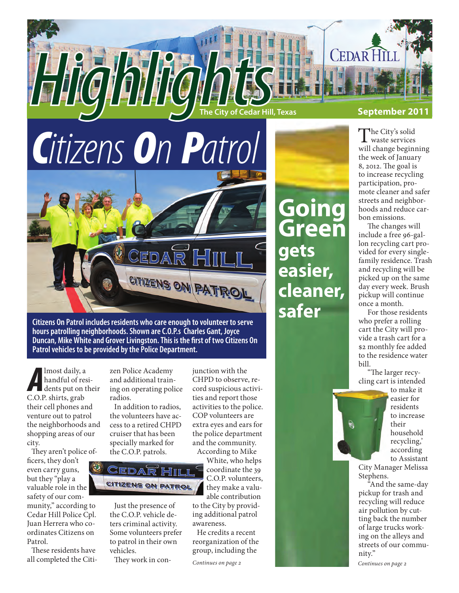

## *Citizens On Patrol*



**Citizens On Patrol includes residents who care enough to volunteer to serve hours patrolling neighborhoods. Shown are C.O.P.s Charles Gant, Joyce Duncan, Mike White and Grover Livingston. This is the first of two Citizens On Patrol vehicles to be provided by the Police Department.**

*A* C.O.P. shirts, grab lmost daily, a handful of residents put on their their cell phones and venture out to patrol the neighborhoods and shopping areas of our city.

They aren't police officers, they don't even carry guns, but they "play a valuable role in the safety of our com-

munity," according to Cedar Hill Police Cpl. Juan Herrera who coordinates Citizens on Patrol.

These residents have all completed the Citi-

zen Police Academy and additional training on operating police radios.

In addition to radios, the volunteers have access to a retired CHPD cruiser that has been specially marked for the C.O.P. patrols.

EDA CITIZENS ON PATROL

Just the presence of the C.O.P. vehicle deters criminal activity. Some volunteers prefer to patrol in their own vehicles.

They work in con-

junction with the CHPD to observe, record suspicious activities and report those activities to the police. COP volunteers are extra eyes and ears for the police department and the community. According to Mike

White, who helps coordinate the 39 C.O.P. volunteers, they make a valuable contribution

to the City by providing additional patrol awareness.

He credits a recent reorganization of the group, including the

*Continues on page 2*

The City's solid waste services will change beginning the week of January 8, 2012. The goal is to increase recycling participation, promote cleaner and safer streets and neighborhoods and reduce carbon emissions.

**Going**

**gets**

**easier,**

**safer**

**cleaner,** 

**Green**

The changes will include a free 96-gallon recycling cart provided for every singlefamily residence. Trash and recycling will be picked up on the same day every week. Brush pickup will continue once a month.

For those residents who prefer a rolling cart the City will provide a trash cart for a \$2 monthly fee added to the residence water bill.

"The larger recycling cart is intended



to make it easier for residents to increase their household recycling,' according to Assistant

City Manager Melissa Stephens.

"And the same-day pickup for trash and recycling will reduce air pollution by cutting back the number of large trucks working on the alleys and streets of our community."

*Continues on page 2*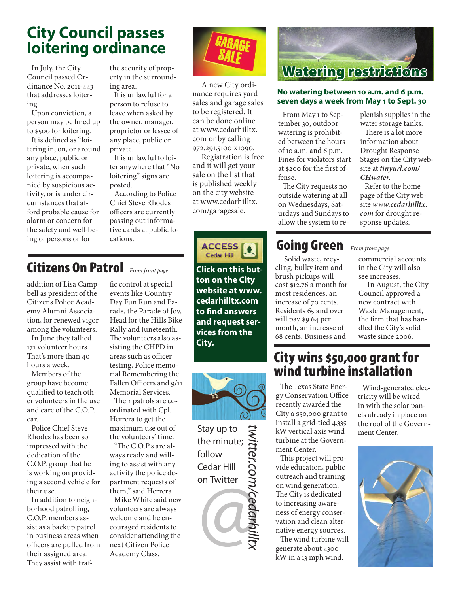## **City Council passes loitering ordinance**

In July, the City Council passed Ordinance No. 2011-443 that addresses loitering.

Upon conviction, a person may be fined up to \$500 for loitering.

It is defined as "loitering in, on, or around any place, public or private, when such loitering is accompanied by suspicious activity, or is under circumstances that afford probable cause for alarm or concern for the safety and well-being of persons or for

the security of property in the surrounding area.

It is unlawful for a person to refuse to leave when asked by the owner, manager, proprietor or lessee of any place, public or private.

It is unlawful to loiter anywhere that "No loitering" signs are posted.

According to Police Chief Steve Rhodes officers are currently passing out informative cards at public locations.

## Citizens On Patrol *From front page* **Click on this but-**

addition of Lisa Campbell as president of the Citizens Police Academy Alumni Association, for renewed vigor among the volunteers.

In June they tallied 171 volunteer hours. That's more than 40 hours a week.

Members of the group have become qualified to teach other volunteers in the use and care of the C.O.P. car.

Police Chief Steve Rhodes has been so impressed with the dedication of the C.O.P. group that he is working on providing a second vehicle for their use.

In addition to neighborhood patrolling, C.O.P. members assist as a backup patrol in business areas when officers are pulled from their assigned area. They assist with traffic control at special events like Country Day Fun Run and Parade, the Parade of Joy, Head for the Hills Bike Rally and Juneteenth. The volunteers also assisting the CHPD in areas such as officer testing, Police memorial Remembering the Fallen Officers and 9/11 Memorial Services.

Their patrols are coordinated with Cpl. Herrera to get the maximum use out of the volunteers' time.

"The C.O.P.s are always ready and willing to assist with any activity the police department requests of them," said Herrera.

Mike White said new volunteers are always welcome and he encouraged residents to consider attending the next Citizen Police Academy Class.



A new City ordinance requires yard sales and garage sales to be registered. It can be done online at www.cedarhilltx. com or by calling 972.291.5100 x1090.

Registration is free and it will get your sale on the list that is published weekly on the city website at www.cedarhilltx. com/garagesale.



**ton on the City website at www. cedarhilltx.com to find answers and request services from the City.**



Stay up to the minute; follow Cedar Hill on Twitter

*twitter.com/cedarhilltx* Witter.com/cedarh.



#### **No watering between 10 a.m. and 6 p.m. seven days a week from May 1 to Sept. 30**

From May 1 to September 30, outdoor watering is prohibited between the hours of 10 a.m. and  $6$  p.m. Fines for violators start at \$200 for the first offense.

The City requests no outside watering at all on Wednesdays, Saturdays and Sundays to allow the system to replenish supplies in the water storage tanks.

There is a lot more information about Drought Response Stages on the City website at *tinyurl.com/ CHwater*.

Refer to the home page of the City website *www.cedarhilltx. com* for drought response updates.

## Going Green **From front page**

Solid waste, recycling, bulky item and brush pickups will cost \$12.76 a month for most residences, an increase of 70 cents. Residents 65 and over will pay \$9.64 per month, an increase of 68 cents. Business and

commercial accounts in the City will also see increases.

In August, the City Council approved a new contract with Waste Management, the firm that has handled the City's solid waste since 2006.

### City wins \$50,000 grant for wind turbine installation

The Texas State Energy Conservation Office recently awarded the City a \$50,000 grant to install a grid-tied 4.335 kW vertical axis wind turbine at the Government Center.

This project will provide education, public outreach and training on wind generation. The City is dedicated to increasing awareness of energy conservation and clean alternative energy sources.

The wind turbine will generate about 4300 kW in a 13 mph wind.

Wind-generated electricity will be wired in with the solar panels already in place on the roof of the Government Center.

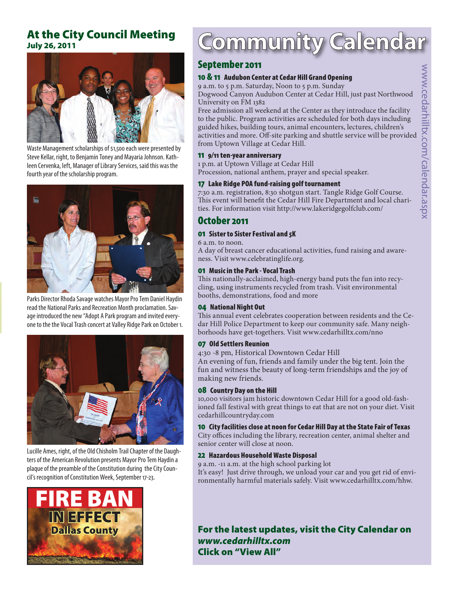#### At the City Council Meeting July 26, 2011



Waste Management scholarships of \$1,500 each were presented by Steve Kellar, right, to Benjamin Toney and Mayaria Johnson. Kathleen Cervenka, left, Manager of Library Services, said this was the fourth year of the scholarship program.



Parks Director Rhoda Savage watches Mayor Pro Tem Daniel Haydin read the National Parks and Recreation Month proclamation. Savage introduced the new "Adopt A Park program and invited everyone to the the Vocal Trash concert at Valley Ridge Park on October 1.



Lucille Ames, right, of the Old Chisholm Trail Chapter of the Daughters of the American Revolution presents Mayor Pro Tem Haydin a plaque of the preamble of the Constitution during the City Council's recognition of Constitution Week, September 17-23.



## **Community Calendar**

#### September 2011

#### 10 & 11 Audubon Center at Cedar Hill Grand Opening

9 a.m. to 5 p.m. Saturday, Noon to 5 p.m. Sunday

Dogwood Canyon Audubon Center at Cedar Hill, just past Northwood University on FM 1382

Free admission all weekend at the Center as they introduce the facility to the public. Program activities are scheduled for both days including guided hikes, building tours, animal encounters, lectures, children's activities and more. Off-site parking and shuttle service will be provided from Uptown Village at Cedar Hill.

#### 11 9/11 ten-year anniversary

1 p.m. at Uptown Village at Cedar Hill Procession, national anthem, prayer and special speaker.

#### 17 Lake Ridge POA fund-raising golf tournament

7:30 a.m. registration, 8:30 shotgun start. Tangle Ridge Golf Course. This event will benefit the Cedar Hill Fire Department and local charities. For information visit http://www.lakeridgegolfclub.com/

#### October 2011

#### 01 Sister to Sister Festival and 5K

6 a.m. to noon. A day of breast cancer educational activities, fund raising and awareness. Visit www.celebratinglife.org.

#### 01 Music in the Park - Vocal Trash

This nationally-acclaimed, high-energy band puts the fun into recycling, using instruments recycled from trash. Visit environmental booths, demonstrations, food and more

#### 04 National Night Out

This annual event celebrates cooperation between residents and the Cedar Hill Police Department to keep our community safe. Many neighborhoods have get-togethers. Visit www.cedarhilltx.com/nno

#### 07 Old Settlers Reunion

4:30 -8 pm, Historical Downtown Cedar Hill

An evening of fun, friends and family under the big tent. Join the fun and witness the beauty of long-term friendships and the joy of making new friends.

#### 08 Country Day on the Hill

10,000 visitors jam historic downtown Cedar Hill for a good old-fashioned fall festival with great things to eat that are not on your diet. Visit cedarhillcountryday.com

#### 10 City facilities close at noon for Cedar Hill Day at the State Fair of Texas

City offices including the library, recreation center, animal shelter and senior center will close at noon.

#### 22 Hazardous Household Waste Disposal

9 a.m. -11 a.m. at the high school parking lot It's easy! Just drive through, we unload your car and you get rid of environmentally harmful materials safely. Visit www.cedarhilltx.com/hhw.

#### For the latest updates, visit the City Calendar on *www.cedarhilltx.com* Click on "View All"